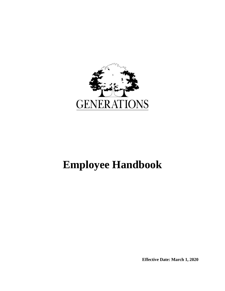

# **Employee Handbook**

**Effective Date: March 1, 2020**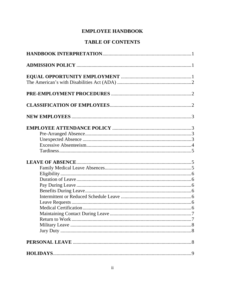### **EMPLOYEE HANDBOOK**

# **TABLE OF CONTENTS**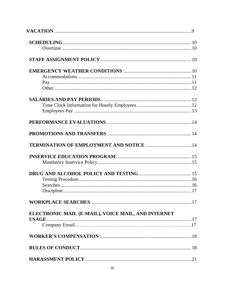| Discipline                                         |  |
|----------------------------------------------------|--|
|                                                    |  |
|                                                    |  |
| ELECTRONIC MAIL (E-MAIL), VOICE MAIL, AND INTERNET |  |
|                                                    |  |
|                                                    |  |
|                                                    |  |
|                                                    |  |
|                                                    |  |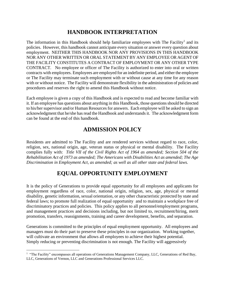# **HANDBOOK INTERPRETATION**

The information in this Handbook should help familiarize employees with The Facility<sup>1</sup> and its policies. However, this handbook cannot anticipate every situation or answer every question about employment. NEITHER THIS HANDBOOK NOR ANY PROVISIONS IN THIS HANDBOOK NOR ANY OTHER WRITTEN OR ORAL STATEMENT BY ANY EMPLOYEE OR AGENT OF THE FACILITY CONSTITUTES A CONTRACT OF EMPLOYMENT OR ANY OTHER TYPE CONTRACT. No employee or officer of The Facility is authorized to enter into oral or written contracts with employees. Employees are employed for an indefinite period, and either the employee or The Facility may terminate such employment with or without cause at any time for any reason with or without notice. The Facility will demonstrate flexibility in the administration of policies and procedures and reserves the right to amend this Handbook without notice.

Each employee is given a copy of this Handbook and is expected to read and become familiar with it. If an employee has questions about anything in this Handbook, those questions should be directed to his/her supervisor and/or Human Resources for answers. Each employee will be asked to sign an acknowledgment that he/she has read the Handbook and understands it. The acknowledgment form can be found at the end of this handbook.

# **ADMISSION POLICY**

Residents are admitted to The Facility and are rendered services without regard to race, color, religion, sex, national origin, age, veteran status or physical or mental disability. The Facility complies fully with: *Title VII of the Civil Rights Act of 1964 as amended; Section 504 of the Rehabilitation Act of 1973 as amended; The Americans with Disabilities Act as amended; The Age Discrimination in Employment Act, as amended; as well as all other state and federal laws.*

# **EQUAL OPPORTUNITY EMPLOYMENT**

It is the policy of Generations to provide equal opportunity for all employees and applicants for employment regardless of race, color, national origin, religion, sex, age, physical or mental disability, genetic information, sexual orientation, or any other characteristic protected by state and federal laws; to promote full realization of equal opportunity and to maintain a workplace free of discriminatory practices and policies. This policy applies to all personnel/employment programs, and management practices and decisions including, but not limited to, recruitment/hiring, merit promotion, transfers, reassignments, training and career development, benefits, and separation.

Generations is committed to the principles of equal employment opportunity. All employees and managers must do their part to preserve these principles in our organization. Working together, will cultivate an environment that allows all employees to achieve their highest potential. Simply reducing or preventing discrimination is not enough. The Facility will aggressively

<sup>&</sup>lt;sup>1</sup> "The Facility" encompasses all operations of Generations Management Company, LLC, Generations of Red Bay, LLC, Generations of Vernon, LLC and Generations Professional Services LLC.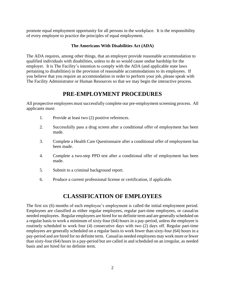promote equal employment opportunity for all persons in the workplace. It is the responsibility of every employee to practice the principles of equal employment.

### **The Americans With Disabilities Act (ADA)**

The ADA requires, among other things, that an employer provide reasonable accommodation to qualified individuals with disabilities, unless to do so would cause undue hardship for the employer. It is The Facility's intention to comply with the ADA (and applicable state laws pertaining to disabilities) in the provision of reasonable accommodations to its employees. If you believe that you require an accommodation in order to perform your job, please speak with The Facility Administrator or Human Resources so that we may begin the interactive process.

### **PRE-EMPLOYMENT PROCEDURES**

All prospective employees must successfully complete our pre-employment screening process. All applicants must:

- 1. Provide at least two (2) positive references.
- 2. Successfully pass a drug screen after a conditional offer of employment has been made.
- 3. Complete a Health Care Questionnaire after a conditional offer of employment has been made.
- 4. Complete a two-step PPD test after a conditional offer of employment has been made.
- 5. Submit to a criminal background report.
- 6. Produce a current professional license or certification, if applicable.

### **CLASSIFICATION OF EMPLOYEES**

The first six (6) months of each employee's employment is called the initial employment period. Employees are classified as either regular employees, regular part-time employees, or casual/as needed employees. Regular employees are hired for no definite term and are generally scheduled on a regular basis to work a minimum of sixty-four (64) hours in a pay-period, unless the employee is routinely scheduled to work four (4) consecutive days with two (2) days off. Regular part-time employees are generally scheduled on a regular basis to work fewer than sixty-four (64) hours in a pay-period and are hired for no definite term. Casual/as needed employees may work more or fewer than sixty-four (64) hours in a pay-period but are called in and scheduled on an irregular, as needed basis and are hired for no definite term.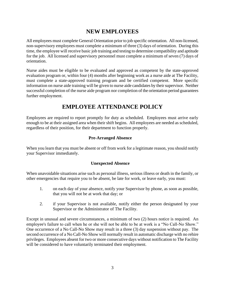# **NEW EMPLOYEES**

All employees must complete General Orientation prior to job specific orientation. All non-licensed, non-supervisory employees must complete a minimum of three (3) days of orientation. During this time, the employee will receive basic job training and testing to determine compatibility and aptitude for the job. All licensed and supervisory personnel must complete a minimum of seven (7) days of orientation.

Nurse aides must be eligible to be evaluated and approved as competent by the state-approved evaluation program or, within four (4) months after beginning work as a nurse aide at The Facility, must complete a state-approved training program and be certified competent. More specific information on nurse aide training will be given to nurse aide candidates by their supervisor. Neither successful completion of the nurse aide program nor completion of the orientation period guarantees further employment.

# **EMPLOYEE ATTENDANCE POLICY**

Employees are required to report promptly for duty as scheduled. Employees must arrive early enough to be at their assigned area when their shift begins. All employees are needed as scheduled, regardless of their position, for their department to function properly.

### **Pre-Arranged Absence**

When you learn that you must be absent or off from work for a legitimate reason, you should notify your Supervisor immediately.

### **Unexpected Absence**

When unavoidable situations arise such as personal illness, serious illness or death in the family, or other emergencies that require you to be absent, be late for work, or leave early, you must:

- 1. on each day of your absence, notify your Supervisor by phone, as soon as possible, that you will not be at work that day; or
- 2. if your Supervisor is not available, notify either the person designated by your Supervisor or the Administrator of The Facility.

Except in unusual and severe circumstances, a minimum of two (2) hours notice is required. An employee's failure to call when he or she will not be able to be at work is a "No Call-No Show." One occurrence of a No Call-No Show may result in a three (3) day suspension without pay. The second occurrence of a No Call-No Show will normally result in automatic discharge with no rehire privileges. Employees absent for two or more consecutive days without notification to The Facility will be considered to have voluntarily terminated their employment.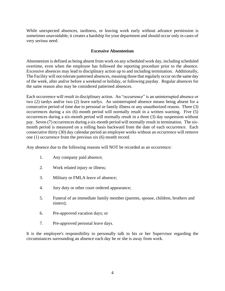While unexpected absences, tardiness, or leaving work early without advance permission is sometimes unavoidable, it creates a hardship for your department and should occur only in cases of very serious need.

### **Excessive Absenteeism**

Absenteeism is defined as being absent from work on any scheduled work day, including scheduled overtime, even when the employee has followed the reporting procedure prior to the absence. Excessive absences may lead to disciplinary action up to and including termination. Additionally, The Facility will not tolerate patterned absences, meaning those that regularly occur on the same day of the week, after and/or before a weekend or holiday, or following payday. Regular absences for the same reason also may be considered patterned absences.

Each occurrence will result in disciplinary action. An "occurrence" is an uninterrupted absence or two (2) tardys and/or two (2) leave earlys. An uninterrupted absence means being absent for a consecutive period of time due to personal or family illness or any unauthorized reason. Three (3) occurrences during a six (6) month period will normally result in a written warning. Five (5) occurrences during a six-month period will normally result in a three (3) day suspension without pay. Seven (7) occurrences during a six-month period will normally result in termination. The sixmonth period is measured on a rolling basis backward from the date of each occurrence. Each consecutive thirty (30) day calendar period an employee works without an occurrence will remove one (1) occurrence from the previous six (6) month record.

Any absence due to the following reasons will NOT be recorded as an occurrence:

- 1. Any company paid absence;
- 2. Work related injury or illness;
- 3. Military or FMLA leave of absence;
- 4. Jury duty or other court ordered appearance;
- 5. Funeral of an immediate family member (parents, spouse, children, brothers and sisters);
- 6. Pre-approved vacation days; or
- 7. Pre-approved personal leave days.

It is the employee's responsibility to personally talk to his or her Supervisor regarding the circumstances surrounding an absence each day he or she is away from work.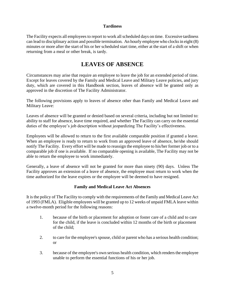### **Tardiness**

The Facility expects all employees to report to work all scheduled days on time. Excessive tardiness can lead to disciplinary action and possible termination. An hourly employee who clocks in eight (8) minutes or more after the start of his or her scheduled start time, either at the start of a shift or when returning from a meal or other break, is tardy.

### **LEAVES OF ABSENCE**

Circumstances may arise that require an employee to leave the job for an extended period of time. Except for leaves covered by the Family and Medical Leave and Military Leave policies, and jury duty, which are covered in this Handbook section, leaves of absence will be granted only as approved in the discretion of The Facility Administrator.

The following provisions apply to leaves of absence other than Family and Medical Leave and Military Leave:

Leaves of absence will be granted or denied based on several criteria, including but not limited to: ability to staff for absence, leave time required, and whether The Facility can carry on the essential duties of the employee's job description without jeopardizing The Facility's effectiveness.

Employees will be allowed to return to the first available comparable position if granted a leave. When an employee is ready to return to work from an approved leave of absence, he/she should notify The Facility. Every effort will be made to reassign the employee to his/her former job or to a comparable job if one is available. If no comparable opening is available, The Facility may not be able to return the employee to work immediately.

Generally, a leave of absence will not be granted for more than ninety (90) days. Unless The Facility approves an extension of a leave of absence, the employee must return to work when the time authorized for the leave expires or the employee will be deemed to have resigned.

### **Family and Medical Leave Act Absences**

It is the policy of The Facility to comply with the requirements of the Family and Medical Leave Act of 1993 (FMLA). Eligible employees will be granted up to 12 weeks of unpaid FMLA leave within a twelve-month period for the following reasons:

- 1. because of the birth or placement for adoption or foster care of a child and to care for the child, if the leave is concluded within 12 months of the birth or placement of the child;
- 2. to care for the employee's spouse, child or parent who has a serious health condition; or
- 3. because of the employee's own serious health condition, which renders the employee unable to perform the essential functions of his or her job.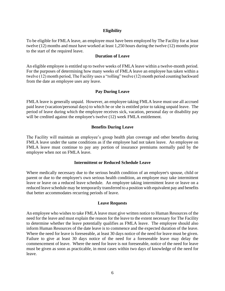### **Eligibility**

To be eligible for FMLA leave, an employee must have been employed by The Facility for at least twelve (12) months and must have worked at least 1,250 hours during the twelve (12) months prior to the start of the required leave.

#### **Duration of Leave**

An eligible employee is entitled up to twelve weeks of FMLA leave within a twelve-month period. For the purposes of determining how many weeks of FMLA leave an employee has taken within a twelve (12) month period, The Facility uses a "rolling" twelve (12) month period counting backward from the date an employee uses any leave.

#### **Pay During Leave**

FMLA leave is generally unpaid. However, an employee taking FMLA leave must use all accrued paid leave (vacation/personal days) to which he or she is entitled prior to taking unpaid leave. The period of leave during which the employee receives sick, vacation, personal day or disability pay will be credited against the employee's twelve (12) week FMLA entitlement.

#### **Benefits During Leave**

The Facility will maintain an employee's group health plan coverage and other benefits during FMLA leave under the same conditions as if the employee had not taken leave. An employee on FMLA leave must continue to pay any portion of insurance premiums normally paid by the employee when not on FMLA leave.

#### **Intermittent or Reduced Schedule Leave**

Where medically necessary due to the serious health condition of an employee's spouse, child or parent or due to the employee's own serious health condition, an employee may take intermittent leave or leave on a reduced leave schedule. An employee taking intermittent leave or leave on a reduced leave schedule may be temporarily transferred to a position with equivalent pay and benefits that better accommodates recurring periods of leave.

#### **Leave Requests**

An employee who wishes to take FMLA leave must give written notice to Human Resources of the need for the leave and must explain the reason for the leave to the extent necessary for The Facility to determine whether the leave potentially qualifies as FMLA leave. The employee should also inform Human Resources of the date leave is to commence and the expected duration of the leave. Where the need for leave is foreseeable, at least 30 days notice of the need for leave must be given. Failure to give at least 30 days notice of the need for a foreseeable leave may delay the commencement of leave. Where the need for leave is not foreseeable, notice of the need for leave must be given as soon as practicable, in most cases within two days of knowledge of the need for leave.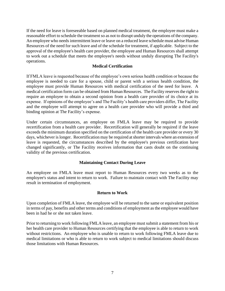If the need for leave is foreseeable based on planned medical treatment, the employee must make a reasonable effort to schedule the treatment so as not to disrupt unduly the operations of the company. An employee who needs intermittent leave or leave on a reduced leave schedule must advise Human Resources of the need for such leave and of the schedule for treatment, if applicable. Subject to the approval of the employee's health care provider, the employee and Human Resources shall attempt to work out a schedule that meets the employee's needs without unduly disrupting The Facility's operations.

### **Medical Certification**

If FMLA leave is requested because of the employee's own serious health condition or because the employee is needed to care for a spouse, child or parent with a serious health condition, the employee must provide Human Resources with medical certification of the need for leave. A medical certification form can be obtained from Human Resources. The Facility reserves the right to require an employee to obtain a second opinion from a health care provider of its choice at its expense. If opinions of the employee's and The Facility's health care providers differ, The Facility and the employee will attempt to agree on a health care provider who will provide a third and binding opinion at The Facility's expense.

Under certain circumstances, an employee on FMLA leave may be required to provide recertification from a health care provider. Recertification will generally be required if the leave exceeds the minimum duration specified on the certification of the health care provider or every 30 days, whichever is longer. Recertification may be required at shorter intervals where an extension of leave is requested, the circumstances described by the employee's previous certification have changed significantly, or The Facility receives information that casts doubt on the continuing validity of the previous certification.

### **Maintaining Contact During Leave**

An employee on FMLA leave must report to Human Resources every two weeks as to the employee's status and intent to return to work. Failure to maintain contact with The Facility may result in termination of employment.

### **Return to Work**

Upon completion of FMLA leave, the employee will be returned to the same or equivalent position in terms of pay, benefits and other terms and conditions of employment as the employee would have been in had he or she not taken leave.

Prior to returning to work following FMLA leave, an employee must submit a statement from his or her health care provider to Human Resources certifying that the employee is able to return to work without restrictions. An employee who is unable to return to work following FMLA leave due to medical limitations or who is able to return to work subject to medical limitations should discuss those limitations with Human Resources.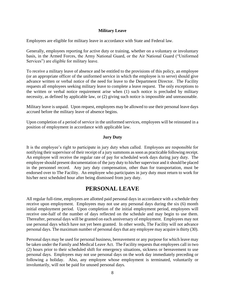### **Military Leave**

Employees are eligible for military leave in accordance with State and Federal law.

Generally, employees reporting for active duty or training, whether on a voluntary or involuntary basis, in the Armed Forces, the Army National Guard, or the Air National Guard ("Uniformed Services") are eligible for military leave.

To receive a military leave of absence and be entitled to the provisions of this policy, an employee (or an appropriate officer of the uniformed service in which the employee is to serve) should give advance written or verbal notice of the need for leave to the Department Director. The Facility requests all employees seeking military leave to complete a leave request. The only exceptions to the written or verbal notice requirement arise when (1) such notice is precluded by military necessity, as defined by applicable law, or (2) giving such notice is impossible and unreasonable.

Military leave is unpaid. Upon request, employees may be allowed to use their personal leave days accrued before the military leave of absence begins.

Upon completion of a period of service in the uniformed services, employees will be reinstated in a position of employment in accordance with applicable law.

### **Jury Duty**

It is the employee's right to participate in jury duty when called. Employees are responsible for notifying their supervisor of their receipt of a jury summons as soon as practicable following receipt. An employee will receive the regular rate of pay for scheduled work days during jury duty. The employee should present documentation of the jury duty to his/her supervisor and it should be placed in the personnel record. Any jury duty compensation, other than for transportation, must be endorsed over to The Facility. An employee who participates in jury duty must return to work for his/her next scheduled hour after being dismissed from jury duty.

### **PERSONAL LEAVE**

All regular full-time, employees are allotted paid personal days in accordance with a schedule they receive upon employment. Employees may not use any personal days during the six (6) month initial employment period. Upon completion of the initial employment period, employees will receive one-half of the number of days reflected on the schedule and may begin to use them. Thereafter, personal days will be granted on each anniversary of employment. Employees may not use personal days which have not yet been granted. In other words, The Facility will not advance personal days. The maximum number of personal days that any employee may acquire is thirty (30).

Personal days may be used for personal business, bereavement or any purpose for which leave may be taken under the Family and Medical Leave Act. The Facility requests that employees call in two (2) hours prior to their scheduled shift for emergency situations, sickness or bereavement to use personal days. Employees may not use personal days on the work day immediately preceding or following a holiday. Also, any employee whose employment is terminated, voluntarily or involuntarily, will not be paid for unused personal days.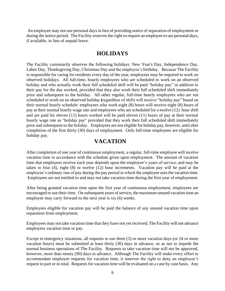An employee may not use personal days in lieu of providing notice of separation of employment or during the notice period. The Facility reserves the right to require an employee to use personal days, if available, in lieu of unpaid leave.

### **HOLIDAYS**

The Facility customarily observes the following holidays: New Year's Day, Independence Day, Labor Day, Thanksgiving Day, Christmas Day and the employee's birthday. Because The Facility is responsible for caring for residents every day of the year, employees may be required to work on observed holidays. All full-time, hourly employees who are scheduled to work on an observed holiday and who actually work their full scheduled shift will be paid "holiday pay" in addition to their pay for the day worked, provided that they also work their full scheduled shift immediately prior and subsequent to the holiday. All other regular, full-time hourly employees who are not scheduled to work on an observed holiday **(**regardless of shift) will receive "holiday pay" based on their normal hourly schedule: employees who work eight (8) hours will receive eight (8) hours of pay at their normal hourly wage rate and employees who are scheduled for a twelve (12) hour shift and are paid for eleven (11) hours worked will be paid eleven (11) hours of pay at their normal hourly wage rate as "holiday pay" provided that they work their full scheduled shift immediately prior and subsequent to the holiday. Employees are not eligible for holiday pay, however, until after completion of the first thirty (30) days of employment. Only full-time employees are eligible for holiday pay.

### **VACATION**

After completion of one year of continuous employment, a regular, full-time employee will receive vacation time in accordance with the schedule given upon employment. The amount of vacation time that employees receive each year depends upon the employee's years of service, and may be taken in four (4), eight (8) or twelve (12) hour increments. Vacation pay will be paid at the employee's ordinary rate of pay during the pay period in which the employee uses the vacation time. Employees are not entitled to and may not take vacation time during the first year of employment.

After being granted vacation time upon the first year of continuous employment, employees are encouraged to use their time. On subsequent years of service, the maximum unused vacation time an employee may carry forward to the next year is six (6) weeks.

Employees eligible for vacation pay will be paid the balance of any unused vacation time upon separation from employment.

Employees may not take vacation time that they have not yet received; The Facility will not advance employees vacation time or pay.

Except in emergency situations, all requests to use three (3) or more vacation days (or 24 or more vacation hours) must be submitted at least thirty (30) days in advance, so as not to impede the normal business operations of The Facility. Requests to take vacation time will not be approved, however, more than ninety (90) days in advance. Although The Facility will make every effort to accommodate employee requests for vacation time, it reserves the right to deny an employee's request in part or in total. Requests for vacation time will be evaluated on a case by case basis. Any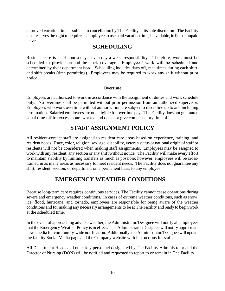approved vacation time is subject to cancellation by The Facility at its sole discretion. The Facility also reserves the right to require an employee to use paid vacation time, if available, in lieu of unpaid leave.

### **SCHEDULING**

Resident care is a 24-hour-a-day, seven-day-a-week responsibility. Therefore, work must be scheduled to provide around-the-clock coverage. Employees' work will be scheduled and determined by their department head. Scheduling includes days off, mealtimes during each shift, and shift breaks (time permitting). Employees may be required to work any shift without prior notice.

### **Overtime**

Employees are authorized to work in accordance with the assignment of duties and work schedule only. No overtime shall be permitted without prior permission from an authorized supervisor. Employees who work overtime without authorization are subject to discipline up to and including termination. Salaried employees are not eligible for overtime pay. The Facility does not guarantee equal time-off for excess hours worked and does not give compensatory time off.

# **STAFF ASSIGNMENT POLICY**

All resident-contact staff are assigned to resident care areas based on experience, training, and resident needs. Race, color, religion, sex, age, disability, veteran status or national origin of staff or residents will not be considered when making staff assignments. Employees may be assigned to work with any resident, any section or any shift without notice. The Facility will make every effort to maintain stability by limiting transfers as much as possible; however, employees will be crosstrained in as many areas as necessary to meet resident needs. The Facility does not guarantee any shift, resident, section, or department on a permanent basis to any employee.

# **EMERGENCY WEATHER CONDITIONS**

Because long-term care requires continuous services, The Facility cannot cease operations during severe and emergency weather conditions. In cases of extreme weather conditions, such as snow, ice, flood, hurricane, and tornado, employees are responsible for being aware of the weather conditions and for making any necessary arrangements to be at The Facility and ready to begin work at the scheduled time.

In the event of approaching adverse weather, the Administrator/Designee will notify all employees that the Emergency Weather Policy is in effect. The Administrator/Designee will notify appropriate news media for community-wide notification. Additionally, the Administrator/Designee will update the facility Social Media page and the Company website with instructions for staff.

All Department Heads and other key personnel designated by The Facility Administrator and the Director of Nursing (DON) will be notified and requested to report to or remain in The Facility.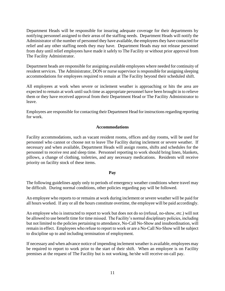Department Heads will be responsible for insuring adequate coverage for their departments by notifying personnel assigned to their areas of the staffing needs. Department Heads will notify the Administrator of the number of personnel they have available, the employees they have contacted for relief and any other staffing needs they may have. Department Heads may not release personnel from duty until relief employees have made it safely to The Facility or without prior approval from The Facility Administrator.

Department heads are responsible for assigning available employees where needed for continuity of resident services. The Administrator, DON or nurse supervisor is responsible for assigning sleeping accommodations for employees required to remain at The Facility beyond their scheduled shift.

All employees at work when severe or inclement weather is approaching or hits the area are expected to remain at work until such time as appropriate personnel have been brought in to relieve them or they have received approval from their Department Head or The Facility Administrator to leave.

Employees are responsible for contacting their Department Head for instructions regarding reporting for work.

### **Accommodations**

Facility accommodations, such as vacant resident rooms, offices and day rooms, will be used for personnel who cannot or choose not to leave The Facility during inclement or severe weather. If necessary and when available, Department Heads will assign rooms, shifts and schedules for the personnel to receive rest and sleep time. Personnel reporting to work should bring linen, blankets, pillows, a change of clothing, toiletries, and any necessary medications. Residents will receive priority on facility stock of these items.

### **Pay**

The following guidelines apply only to periods of emergency weather conditions where travel may be difficult. During normal conditions, other policies regarding pay will be followed.

An employee who reports to or remains at work during inclement or severe weather will be paid for all hours worked. If any or all the hours constitute overtime, the employee will be paid accordingly.

An employee who is instructed to report to work but does not do so (refusal, no-show, etc.) will not be allowed to use benefit time for time missed. The Facility's normal disciplinary policies, including but not limited to the policies pertaining to attendance, No-Call No-Show and insubordination, will remain in effect. Employees who refuse to report to work or are a No-Call No-Show will be subject to discipline up to and including termination of employment.

If necessary and when advance notice of impending inclement weather is available, employees may be required to report to work prior to the start of their shift. When an employee is on Facility premises at the request of The Facility but is not working, he/she will receive on-call pay.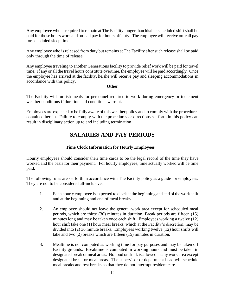Any employee who is required to remain at The Facility longer than his/her scheduled shift shall be paid for those hours work and on-call pay for hours off duty. The employee will receive on-call pay for scheduled sleep time.

Any employee who is released from duty but remains at The Facility after such release shall be paid only through the time of release.

Any employee traveling to another Generations facility to provide relief work will be paid for travel time. If any or all the travel hours constitute overtime, the employee will be paid accordingly. Once the employee has arrived at the facility, he/she will receive pay and sleeping accommodations in accordance with this policy.

#### **Other**

The Facility will furnish meals for personnel required to work during emergency or inclement weather conditions if duration and conditions warrant.

Employees are expected to be fully aware of this weather policy and to comply with the procedures contained herein. Failure to comply with the procedures or directions set forth in this policy can result in disciplinary action up to and including termination

### **SALARIES AND PAY PERIODS**

### **Time Clock Information for Hourly Employees**

Hourly employees should consider their time cards to be the legal record of the time they have worked and the basis for their payment. For hourly employees, time actually worked will be time paid.

The following rules are set forth in accordance with The Facility policy as a guide for employees. They are not to be considered all-inclusive.

- 1. Each hourly employee is expected to clock at the beginning and end of the work shift and at the beginning and end of meal breaks.
- 2. An employee should not leave the general work area except for scheduled meal periods, which are thirty (30) minutes in duration. Break periods are fifteen (15) minutes long and may be taken once each shift. Employees working a twelve (12) hour shift take one (1) hour meal breaks, which at the Facility's discretion, may be divided into (2) 30 minute breaks. Employees working twelve (12) hour shifts will take and two (2) breaks which are fifteen (15) minutes in duration.
- 3. Mealtime is not computed as working time for pay purposes and may be taken off Facility grounds. Breaktime is computed in working hours and must be taken in designated break or meal areas. No food or drink is allowed in any work area except designated break or meal areas. The supervisor or department head will schedule meal breaks and rest breaks so that they do not interrupt resident care.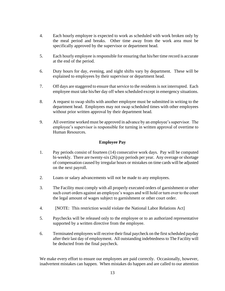- 4. Each hourly employee is expected to work as scheduled with work broken only by the meal period and breaks. Other time away from the work area must be specifically approved by the supervisor or department head.
- 5. Each hourly employee is responsible for ensuring that his/her time record is accurate at the end of the period.
- 6. Duty hours for day, evening, and night shifts vary by department. These will be explained to employees by their supervisor or department head.
- 7. Off days are staggered to ensure that service to the residents is not interrupted. Each employee must take his/her day off when scheduled except in emergency situations.
- 8. A request to swap shifts with another employee must be submitted in writing to the department head. Employees may not swap scheduled times with other employees without prior written approval by their department head.
- 9. All overtime worked must be approved in advance by an employee's supervisor. The employee's supervisor is responsible for turning in written approval of overtime to Human Resources.

### **Employee Pay**

- 1. Pay periods consist of fourteen (14) consecutive work days. Pay will be computed bi-weekly. There are twenty-six (26) pay periods per year. Any overage or shortage of compensation caused by irregular hours or mistakes on time cards will be adjusted on the next payroll.
- 2. Loans or salary advancements will not be made to any employees.
- 3. The Facility must comply with all properly executed orders of garnishment or other such court orders against an employee's wages and will hold or turn over to the court the legal amount of wages subject to garnishment or other court order.
- 4. [NOTE: This restriction would violate the National Labor Relations Act]
- 5. Paychecks will be released only to the employee or to an authorized representative supported by a written directive from the employee.
- 6. Terminated employees will receive their final paycheck on the first scheduled payday after their last day of employment. All outstanding indebtedness to The Facility will be deducted from the final paycheck.

We make every effort to ensure our employees are paid correctly. Occasionally, however, inadvertent mistakes can happen. When mistakes do happen and are called to our attention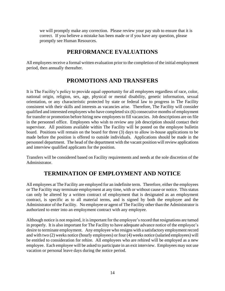we will promptly make any correction. Please review your pay stub to ensure that it is correct. If you believe a mistake has been made or if you have any question, please promptly see Human Resources.

### **PERFORMANCE EVALUATIONS**

All employees receive a formal written evaluation prior to the completion of the initial employment period, then annually thereafter.

# **PROMOTIONS AND TRANSFERS**

It is The Facility's policy to provide equal opportunity for all employees regardless of race, color, national origin, religion, sex, age, physical or mental disability, genetic information, sexual orientation, or any characteristic protected by state or federal law to progress in The Facility consistent with their skills and interests as vacancies arise. Therefore, The Facility will consider qualified and interested employees who have completed six (6) consecutive months of employment for transfer or promotion before hiring new employees to fill vacancies. Job descriptions are on file in the personnel office. Employees who wish to review any job description should contact their supervisor. All positions available within The Facility will be posted on the employee bulletin board. Positions will remain on the board for three (3) days to allow in-house applications to be made before the position is offered to outside individuals. Applications should be made in the personnel department. The head of the department with the vacant position will review applications and interview qualified applicants for the position.

Transfers will be considered based on Facility requirements and needs at the sole discretion of the Administrator.

### **TERMINATION OF EMPLOYMENT AND NOTICE**

All employees at The Facility are employed for an indefinite term. Therefore, either the employees or The Facility may terminate employment at any time, with or without cause or notice. This status can only be altered by a written contract of employment that is designated as an employment contract, is specific as to all material terms, and is signed by both the employee and the Administrator of the Facility. No employee or agent of The Facility other than the Administrator is authorized to enter into an employment contract with any employee.

Although notice is not required, it is important for the employee's record that resignations are turned in properly. It is also important for The Facility to have adequate advance notice of the employee's desire to terminate employment. Any employee who resigns with a satisfactory employment record and with two (2) weeks notice (hourly employees) or four (4) weeks notice (salaried employees) will be entitled to consideration for rehire. All employees who are rehired will be employed as a new employee. Each employee will be asked to participate in an exit interview. Employees may not use vacation or personal leave days during the notice period.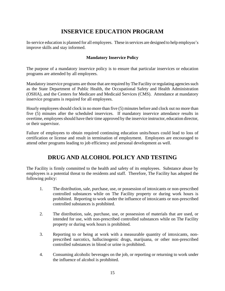# **INSERVICE EDUCATION PROGRAM**

In-service education is planned for all employees. These in services are designed to help employee's improve skills and stay informed.

### **Mandatory Inservice Policy**

The purpose of a mandatory inservice policy is to ensure that particular inservices or education programs are attended by all employees.

Mandatory inservice programs are those that are required by The Facility or regulating agencies such as the State Department of Public Health, the Occupational Safety and Health Administration (OSHA), and the Centers for Medicare and Medicaid Services (CMS). Attendance at mandatory inservice programs is required for all employees.

Hourly employees should clock in no more than five (5) minutes before and clock out no more than five (5) minutes after the scheduled inservices. If mandatory inservice attendance results in overtime, employees should have their time approved by the inservice instructor, education director, or their supervisor.

Failure of employees to obtain required continuing education units/hours could lead to loss of certification or license and result in termination of employment. Employees are encouraged to attend other programs leading to job efficiency and personal development as well.

# **DRUG AND ALCOHOL POLICY AND TESTING**

The Facility is firmly committed to the health and safety of its employees. Substance abuse by employees is a potential threat to the residents and staff. Therefore, The Facility has adopted the following policy:

- 1. The distribution, sale, purchase, use, or possession of intoxicants or non-prescribed controlled substances while on The Facility property or during work hours is prohibited. Reporting to work under the influence of intoxicants or non-prescribed controlled substances is prohibited.
- 2. The distribution, sale, purchase, use, or possession of materials that are used, or intended for use, with non-prescribed controlled substances while on The Facility property or during work hours is prohibited.
- 3. Reporting to or being at work with a measurable quantity of intoxicants, nonprescribed narcotics, hallucinogenic drugs, marijuana, or other non-prescribed controlled substances in blood or urine is prohibited.
- 4. Consuming alcoholic beverages on the job, or reporting or returning to work under the influence of alcohol is prohibited.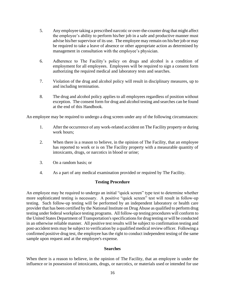- 5. Any employee taking a prescribed narcotic or over-the-counter drug that might affect the employee's ability to perform his/her job in a safe and productive manner must advise his/her supervisor of its use. The employee may remain on his/her job or may be required to take a leave of absence or other appropriate action as determined by management in consultation with the employee's physician.
- 6. Adherence to The Facility's policy on drugs and alcohol is a condition of employment for all employees. Employees will be required to sign a consent form authorizing the required medical and laboratory tests and searches.
- 7. Violation of the drug and alcohol policy will result in disciplinary measures, up to and including termination.
- 8. The drug and alcohol policy applies to all employees regardless of position without exception. The consent form for drug and alcohol testing and searches can be found at the end of this Handbook.

An employee may be required to undergo a drug screen under any of the following circumstances:

- 1. After the occurrence of any work-related accident on The Facility property or during work hours;
- 2. When there is a reason to believe, in the opinion of The Facility, that an employee has reported to work or is on The Facility property with a measurable quantity of intoxicants, drugs, or narcotics in blood or urine;
- 3. On a random basis; or
- 4. As a part of any medical examination provided or required by The Facility.

### **Testing Procedure**

An employee may be required to undergo an initial "quick screen" type test to determine whether more sophisticated testing is necessary. A positive "quick screen" test will result in follow-up testing. Such follow-up testing will be performed by an independent laboratory or health care provider that has been certified by the National Institute on Drug Abuse as qualified to perform drug testing under federal workplace testing programs. All follow-up testing procedures will conform to the United States Department of Transportation's specifications for drug testing or will be conducted in an otherwise reliable manner. All positive test results will be subject to confirmation testing and post-accident tests may be subject to verification by a qualified medical review officer. Following a confirmed positive drug test, the employee has the right to conduct independent testing of the same sample upon request and at the employee's expense.

### **Searches**

When there is a reason to believe, in the opinion of The Facility, that an employee is under the influence or in possession of intoxicants, drugs, or narcotics, or materials used or intended for use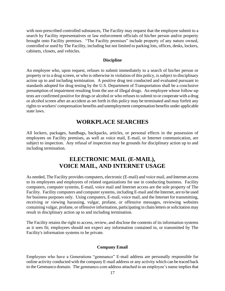with non-prescribed controlled substances, The Facility may request that the employee submit to a search by Facility representatives or law enforcement officials of his/her person and/or property brought onto Facility premises. "The Facility premises" include property of any nature owned, controlled or used by The Facility, including but not limited to parking lots, offices, desks, lockers, cabinets, closets, and vehicles.

#### **Discipline**

An employee who, upon request, refuses to submit immediately to a search of his/her person or property or to a drug screen, or who is otherwise in violation of this policy, is subject to disciplinary action up to and including termination. A positive drug test conducted and evaluated pursuant to standards adopted for drug testing by the U.S. Department of Transportation shall be a conclusive presumption of impairment resulting from the use of illegal drugs. An employee whose follow-up tests are confirmed positive for drugs or alcohol or who refuses to submit to or cooperate with a drug or alcohol screen after an accident as set forth in this policy may be terminated and may forfeit any rights to workers' compensation benefits and unemployment compensation benefits under applicable state laws.

### **WORKPLACE SEARCHES**

All lockers, packages, handbags, backpacks, articles, or personal effects in the possession of employees on Facility premises, as well as voice mail, E-mail, or Internet communication, are subject to inspection. Any refusal of inspection may be grounds for disciplinary action up to and including termination.

### **ELECTRONIC MAIL (E-MAIL), VOICE MAIL, AND INTERNET USAGE**

As needed, The Facility provides computers, electronic (E-mail) and voice mail, and Internet access to its employees and employees of related organizations for use in conducting business. Facility computers, computer systems, E-mail, voice mail and Internet access are the sole property of The Facility. Facility computers and computer systems, including E-mail and the Internet, are to be used for business purposes only. Using computers, E-mail, voice mail, and the Internet for transmitting, receiving or viewing harassing, vulgar, profane, or offensive messages, reviewing websites containing vulgar, profane, or offensive information, participating in chain letters or solicitation may result in disciplinary action up to and including termination.

The Facility retains the right to access, review, and disclose the contents of its information systems as it sees fit; employees should not expect any information contained in, or transmitted by The Facility's information systems to be private.

### **Company Email**

Employees who have a Generations "genmanco" E-mail address are personally responsible for online activity conducted with the company E-mail address or any activity which can be traced back to the Genmanco domain. The genmanco.com address attached to an employee's name implies that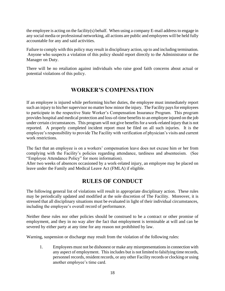the employee is acting on the facility(s) behalf. When using a company E-mail address to engage in any social media or professional networking, all actions are public and employees will be held fully accountable for any and said activities.

Failure to comply with this policy may result in disciplinary action, up to and including termination. Anyone who suspects a violation of this policy should report directly to the Administrator or the Manager on Duty.

There will be no retaliation against individuals who raise good faith concerns about actual or potential violations of this policy.

### **WORKER'S COMPENSATION**

If an employee is injured while performing his/her duties, the employee must immediately report such an injury to his/her supervisor no matter how minor the injury. The Facility pays for employees to participate in the respective State Worker's Compensation Insurance Program. This program provides hospital and medical protection and loss-of-time benefits to an employee injured on the job under certain circumstances. This program will not give benefits for a work-related injury that is not reported.A properly completed incident report must be filed on all such injuries. It is the employee's responsibility to provide The Facility with verification of physician's visits and current work restrictions.

The fact that an employee is on a workers' compensation leave does not excuse him or her from complying with the Facility's policies regarding attendance, tardiness and absenteeism. (See "Employee Attendance Policy" for more information).

After two weeks of absences occasioned by a work-related injury, an employee may be placed on leave under the Family and Medical Leave Act (FMLA) if eligible.

### **RULES OF CONDUCT**

The following general list of violations will result in appropriate disciplinary action. These rules may be periodically updated and modified at the sole discretion of The Facility. Moreover, it is stressed that all disciplinary situations must be evaluated in light of their individual circumstances, including the employee's overall record of performance.

Neither these rules nor other policies should be construed to be a contract or other promise of employment, and they in no way alter the fact that employment is terminable at will and can be severed by either party at any time for any reason not prohibited by law.

Warning, suspension or discharge may result from the violation of the following rules:

1. Employees must not be dishonest or make any misrepresentations in connection with any aspect of employment. This includes but is not limited to falsifying time records, personnel records, resident records, or any other Facility records or clocking or using another employee's time card.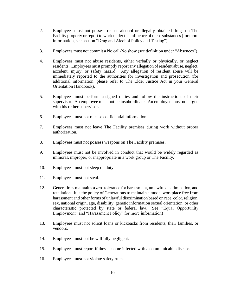- 2. Employees must not possess or use alcohol or illegally obtained drugs on The Facility property or report to work under the influence of these substances (for more information, see section "Drug and Alcohol Policy and Testing").
- 3. Employees must not commit a No call-No show (see definition under "Absences").
- 4. Employees must not abuse residents, either verbally or physically, or neglect residents. Employees must promptly report any allegation of resident abuse, neglect, accident, injury, or safety hazard. Any allegation of resident abuse will be immediately reported to the authorities for investigation and prosecution (for additional information, please refer to The Elder Justice Act in your General Orientation Handbook).
- 5. Employees must perform assigned duties and follow the instructions of their supervisor. An employee must not be insubordinate. An employee must not argue with his or her supervisor.
- 6. Employees must not release confidential information.
- 7. Employees must not leave The Facility premises during work without proper authorization.
- 8. Employees must not possess weapons on The Facility premises.
- 9. Employees must not be involved in conduct that would be widely regarded as immoral, improper, or inappropriate in a work group or The Facility.
- 10. Employees must not sleep on duty.
- 11. Employees must not steal.
- 12. Generations maintains a zero tolerance for harassment, unlawful discrimination, and retaliation. It is the policy of Generations to maintain a model workplace free from harassment and other forms of unlawful discrimination based on race, color, religion, sex, national origin, age, disability, genetic information sexual orientation, or other characteristic protected by state or federal law. (See "Equal Opportunity Employment" and "Harassment Policy" for more information)
- 13. Employees must not solicit loans or kickbacks from residents, their families, or vendors.
- 14. Employees must not be willfully negligent.
- 15. Employees must report if they become infected with a communicable disease.
- 16. Employees must not violate safety rules.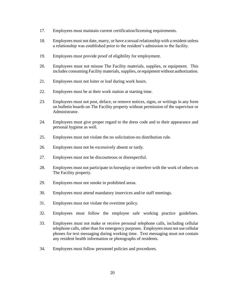- 17. Employees must maintain current certification/licensing requirements.
- 18. Employees must not date, marry, or have a sexual relationship with a resident unless a relationship was established prior to the resident's admission to the facility.
- 19. Employees must provide proof of eligibility for employment.
- 20. Employees must not misuse The Facility materials, supplies, or equipment. This includes consuming Facility materials, supplies, or equipment without authorization.
- 21. Employees must not loiter or loaf during work hours.
- 22. Employees must be at their work station at starting time.
- 23. Employees must not post, deface, or remove notices, signs, or writings in any form on bulletin boards on The Facility property without permission of the supervisor or Administrator.
- 24. Employees must give proper regard to the dress code and to their appearance and personal hygiene as well.
- 25. Employees must not violate the no solicitation-no distribution rule.
- 26. Employees must not be excessively absent or tardy.
- 27. Employees must not be discourteous or disrespectful.
- 28. Employees must not participate in horseplay or interfere with the work of others on The Facility property.
- 29. Employees must not smoke in prohibited areas.
- 30. Employees must attend mandatory inservices and/or staff meetings.
- 31. Employees must not violate the overtime policy.
- 32. Employees must follow the employee safe working practice guidelines.
- 33. Employees must not make or receive personal telephone calls, including cellular telephone calls, other than for emergency purposes. Employees must not use cellular phones for text messaging during working time. Text messaging must not contain any resident health information or photographs of residents.
- 34. Employees must follow personnel policies and procedures.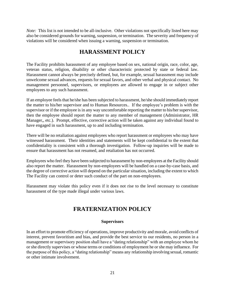*Note:* This list is not intended to be all-inclusive. Other violations not specifically listed here may also be considered grounds for warning, suspension, or termination. The severity and frequency of violations will be considered when issuing a warning, suspension or termination.

# **HARASSMENT POLICY**

The Facility prohibits harassment of any employee based on sex, national origin, race, color, age, veteran status, religion, disability or other characteristic protected by state or federal law. Harassment cannot always be precisely defined, but, for example, sexual harassment may include unwelcome sexual advances, requests for sexual favors, and other verbal and physical contact. No management personnel, supervisors, or employees are allowed to engage in or subject other employees to any such harassment.

If an employee feels that he/she has been subjected to harassment, he/she should immediately report the matter to his/her supervisor and to Human Resources.. If the employee's problem is with the supervisor or if the employee is in any way uncomfortable reporting the matter to his/her supervisor, then the employee should report the matter to any member of management (Administrator, HR Manager,, etc.). Prompt, effective, corrective action will be taken against any individual found to have engaged in such harassment, up to and including termination.

There will be no retaliation against employees who report harassment or employees who may have witnessed harassment. Their identities and statements will be kept confidential to the extent that confidentiality is consistent with a thorough investigation. Follow-up inquiries will be made to ensure that harassment has not resumed, and retaliation has not occurred.

Employees who feel they have been subjected to harassment by non-employees at the Facility should also report the matter. Harassment by non-employees will be handled on a case-by-case basis, and the degree of corrective action will depend on the particular situation, including the extent to which The Facility can control or deter such conduct of the part on non-employees.

Harassment may violate this policy even if it does not rise to the level necessary to constitute harassment of the type made illegal under various laws.

### **FRATERNIZATION POLICY**

### **Supervisors**

In an effort to promote efficiency of operations, improve productivity and morale, avoid conflicts of interest, prevent favoritism and bias, and provide the best service to our residents, no person in a management or supervisory position shall have a "dating relationship" with an employee whom he or she directly supervises or whose terms or conditions of employment he or she may influence. For the purpose of this policy, a "dating relationship" means any relationship involving sexual, romantic or other intimate involvement.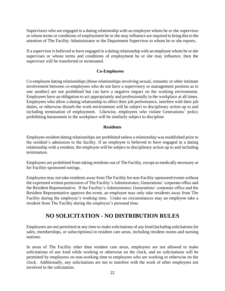Supervisors who are engaged in a dating relationship with an employee whom he or she supervises or whose terms or conditions of employment he or she may influence are required to bring this to the attention of The Facility Administrator or the Department Supervisor to whom he or she reports.

If a supervisor is believed to have engaged in a dating relationship with an employee whom he or she supervises or whose terms and conditions of employment he or she may influence, then the supervisor will be transferred or terminated.

### **Co-Employees**

Co-employee dating relationships (those relationships involving sexual, romantic or other intimate involvement between co-employees who do not have a supervisory or management position as to one another) are not prohibited but can have a negative impact on the working environment. Employees have an obligation to act appropriately and professionally in the workplace at all times. Employees who allow a dating relationship to affect their job performance, interfere with their job duties, or otherwise disturb the work environment will be subject to disciplinary action up to and including termination of employment. Likewise, employees who violate Generations' policy prohibiting harassment in the workplace will be similarly subject to discipline.

### **Residents**

Employee-resident dating relationships are prohibited unless a relationship was established prior to the resident's admission to the facility. If an employee is believed to have engaged in a dating relationship with a resident, the employee will be subject to disciplinary action up to and including termination.

Employees are prohibited from taking residents out of The Facility, except as medically necessary or for Facility-sponsored outings.

Employees may not take residents away from The Facility for non-Facility-sponsored events without the expressed written permission of The Facility's Administrator, Generations' corporate office and the Resident Representative. If the Facility's Administrator, Generations' corporate office and the Resident Representative approve the event, an employee may only take residents away from The Facility during the employee's working time. Under no circumstances may an employee take a resident from The Facility during the employee's personal time.

# **NO SOLICITATION - NO DISTRIBUTION RULES**

Employees are not permitted at any time to make solicitations of any kind (including solicitations for sales, memberships, or subscriptions) in resident care areas, including resident rooms and nursing stations.

In areas of The Facility other than resident care areas, employees are not allowed to make solicitations of any kind while working or otherwise on the clock, and no solicitations will be permitted by employees on non-working time to employees who are working or otherwise on the clock. Additionally, any solicitations are not to interfere with the work of other employees not involved in the solicitation.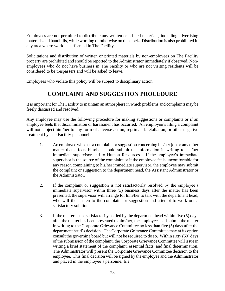Employees are not permitted to distribute any written or printed materials, including advertising materials and handbills, while working or otherwise on the clock. Distribution is also prohibited in any area where work is performed in The Facility.

Solicitations and distribution of written or printed materials by non-employees on The Facility property are prohibited and should be reported to the Administrator immediately if observed. Nonemployees who do not have business in The Facility or who are not visiting residents will be considered to be trespassers and will be asked to leave.

Employees who violate this policy will be subject to disciplinary action

### **COMPLAINT AND SUGGESTION PROCEDURE**

It is important for The Facility to maintain an atmosphere in which problems and complaints may be freely discussed and resolved.

Any employee may use the following procedure for making suggestions or complaints or if an employee feels that discrimination or harassment has occurred. An employee's filing a complaint will not subject him/her to any form of adverse action, reprimand, retaliation, or other negative treatment by The Facility personnel.

- 1. An employee who has a complaint or suggestion concerning his/her job or any other matter that affects him/her should submit the information in writing to his/her immediate supervisor and to Human Resources.. If the employee's immediate supervisor is the source of the complaint or if the employee feels uncomfortable for any reason complaining to his/her immediate supervisor, the employee may submit the complaint or suggestion to the department head, the Assistant Administrator or the Administrator.
- 2. If the complaint or suggestion is not satisfactorily resolved by the employee's immediate supervisor within three (3) business days after the matter has been presented, the supervisor will arrange for him/her to talk with the department head, who will then listen to the complaint or suggestion and attempt to work out a satisfactory solution.
- 3. If the matter is not satisfactorily settled by the department head within five (5) days after the matter has been presented to him/her, the employee shall submit the matter in writing to the Corporate Grievance Committee no less than five (5) days after the department head's decision. The Corporate Grievance Committee may at its option consult the governing board but will not be required to do so. Within sixty (60) days of the submission of the complaint, the Corporate Grievance Committee will issue in writing a brief statement of the complaint, essential facts, and final determination. The Administrator will present the Corporate Grievance Committee decision to the employee. This final decision will be signed by the employee and the Administrator and placed in the employee's personnel file.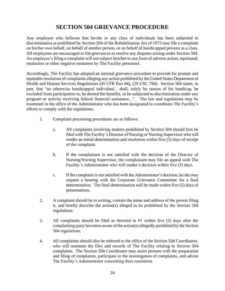## **SECTION 504 GRIEVANCE PROCEDURE**

Any employee who believes that he/she or any class of individuals has been subjected to discrimination as prohibited by Section 504 of the Rehabilitation Act of 1973 may file a complaint on his/her own behalf, on behalf of another person, or on behalf of handicapped persons as a class. All employees are encouraged to file grievances to resolve any disputes arising under Section 504. An employee's filing a complaint will not subject him/her to any form of adverse action, reprimand, retaliation or other negative treatment by The Facility personnel.

Accordingly, The Facility has adopted an internal grievance procedure to provide for prompt and equitable resolution of complaints alleging any action prohibited by the United States Department of Health and Human Services Regulations (45 CFR Part 84), (29 USC 794). Section 504 states, in part, that "no otherwise handicapped individual... shall, solely by reason of his handicap, be excluded from participation in, be denied the benefits, or be subjected to discrimination under any program or activity receiving federal financial assistance...". The law and regulations may be examined in the office of the Administrator who has been designated to coordinate The Facility's efforts to comply with the regulations.

- 1. Complaint processing procedures are as follows:
	- a. All complaints involving matters prohibited by Section 504 should first be filed with The Facility's Director of Nursing or Nursing Supervisor who will render an initial determination and resolution within five (5) days of receipt of the complaint.
	- b. If the complainant is not satisfied with the decision of the Director of Nursing/Nursing Supervisor, the complainant may file an appeal with The Facility's Administrator who will render a decision within five (5) days.
	- c. If the complaint is not satisfied with the Administrator's decision, he/she may request a hearing with the Corporate Grievance Committee for a final determination. The final determination will be made within five (5) days of presentations.
- 2. A complaint should be in writing, contain the name and address of the person filing it, and briefly describe the action(s) alleged to be prohibited by the Section 504 regulations.
- 3. All complaints should be filed as directed in #1 within five (5) days after the complaining party becomes aware of the action(s) allegedly prohibited by the Section 504 regulations.
- 4. All complaints should also be referred to the office of the Section 504 Coordinator, who will maintain the files and records of The Facility relating to Section 504 complaints. The Section 504 Coordinator may assist persons with the preparation and filing of complaints, participate in the investigation of complaints, and advise The Facility's Administrator concerning their resolution.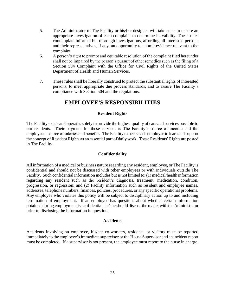- 5. The Administrator of The Facility or his/her designee will take steps to ensure an appropriate investigation of each complaint to determine its validity. These rules contemplate informal but thorough investigations, affording all interested persons and their representatives, if any, an opportunity to submit evidence relevant to the complaint.
- 6. A person's right to prompt and equitable resolution of the complaint filed hereunder shall not be impaired by the person's pursuit of other remedies such as the filing of a Section 504 Complaint with the Office for Civil Rights of the United States Department of Health and Human Services.
- 7. These rules shall be liberally construed to protect the substantial rights of interested persons, to meet appropriate due process standards, and to assure The Facility's compliance with Section 504 and the regulations.

### **EMPLOYEE'S RESPONSIBILITIES**

### **Resident Rights**

The Facility exists and operates solely to provide the highest quality of care and services possible to our residents. Their payment for these services is The Facility's source of income and the employees' source of salaries and benefits. The Facility expects each employee to learn and support the concept of Resident Rights as an essential part of daily work. These Residents' Rights are posted in The Facility.

### **Confidentiality**

All information of a medical or business nature regarding any resident, employee, or The Facility is confidential and should not be discussed with other employees or with individuals outside The Facility. Such confidential information includes but is not limited to: (1) medical/health information regarding any resident such as the resident's diagnosis, treatment, medication, condition, progression, or regression; and (2) Facility information such as resident and employee names, addresses, telephone numbers, finances, policies, procedures, or any specific operational problems. Any employee who violates this policy will be subject to disciplinary action up to and including termination of employment. If an employee has questions about whether certain information obtained during employment is confidential, he/she should discuss the matter with the Administrator prior to disclosing the information in question.

### **Accidents**

Accidents involving an employee, his/her co-workers, residents, or visitors must be reported immediately to the employee's immediate supervisor or the House Supervisor and an incident report must be completed. If a supervisor is not present, the employee must report to the nurse in charge.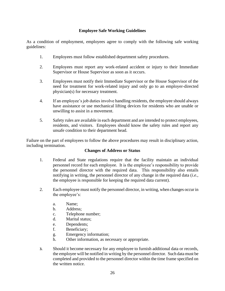### **Employee Safe Working Guidelines**

As a condition of employment, employees agree to comply with the following safe working guidelines:

- 1. Employees must follow established department safety procedures.
- 2. Employees must report any work-related accident or injury to their Immediate Supervisor or House Supervisor as soon as it occurs.
- 3. Employees must notify their Immediate Supervisor or the House Supervisor of the need for treatment for work-related injury and only go to an employer-directed physician(s) for necessary treatment.
- 4. If an employee's job duties involve handling residents, the employee should always have assistance or use mechanical lifting devices for residents who are unable or unwilling to assist in a movement.
- 5. Safety rules are available in each department and are intended to protect employees, residents, and visitors. Employees should know the safety rules and report any unsafe condition to their department head.

Failure on the part of employees to follow the above procedures may result in disciplinary action, including termination.

### **Changes of Address or Status**

- 1. Federal and State regulations require that the facility maintain an individual personnel record for each employee. It is the employee's responsibility to provide the personnel director with the required data. This responsibility also entails notifying in writing, the personnel director of any change in the required data (*i.e.*, the employee is responsible for keeping the required data current).
- 2. Each employee must notify the personnel director, in writing, when changes occur in the employee's:
	- a. Name;
	- b. Address;
	- c. Telephone number;
	- d. Marital status;
	- e. Dependents;
	- f. Beneficiary;
	- g. Emergency information;
	- h. Other information, as necessary or appropriate.
- **3.** Should it become necessary for any employee to furnish additional data or records, the employee will be notified in writing by the personnel director. Such data must be completed and provided to the personnel director within the time frame specified on the written notice.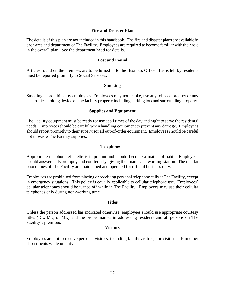#### **Fire and Disaster Plan**

The details of this plan are not included in this handbook. The fire and disaster plans are available in each area and department of The Facility. Employees are required to become familiar with their role in the overall plan. See the department head for details.

#### **Lost and Found**

Articles found on the premises are to be turned in to the Business Office. Items left by residents must be reported promptly to Social Services.

#### **Smoking**

Smoking is prohibited by employees. Employees may not smoke, use any tobacco product or any electronic smoking device on the facility property including parking lots and surrounding property.

#### **Supplies and Equipment**

The Facility equipment must be ready for use at all times of the day and night to serve the residents' needs. Employees should be careful when handling equipment to prevent any damage. Employees should report promptly to their supervisor all out-of-order equipment. Employees should be careful not to waste The Facility supplies.

#### **Telephone**

Appropriate telephone etiquette is important and should become a matter of habit. Employees should answer calls promptly and courteously, giving their name and working station. The regular phone lines of The Facility are maintained and operated for official business only.

Employees are prohibited from placing or receiving personal telephone calls at The Facility, except in emergency situations. This policy is equally applicable to cellular telephone use. Employees' cellular telephones should be turned off while in The Facility. Employees may use their cellular telephones only during non-working time.

#### **Titles**

Unless the person addressed has indicated otherwise, employees should use appropriate courtesy titles (Dr., Mr., or Ms.) and the proper names in addressing residents and all persons on The Facility's premises.

#### **Visitors**

Employees are not to receive personal visitors, including family visitors, nor visit friends in other departments while on duty.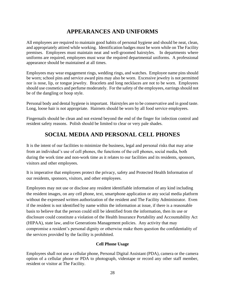# **APPEARANCES AND UNIFORMS**

All employees are required to maintain good habits of personal hygiene and should be neat, clean, and appropriately attired while working. Identification badges must be worn while on The Facility premises. Employees must maintain neat and well-groomed hairstyles. In departments where uniforms are required, employees must wear the required departmental uniforms. A professional appearance should be maintained at all times.

Employees may wear engagement rings, wedding rings, and watches. Employee name pins should be worn; school pins and service award pins may also be worn. Excessive jewelry is not permitted nor is nose, lip, or tongue jewelry. Bracelets and long necklaces are not to be worn. Employees should use cosmetics and perfume moderately. For the safety of the employees, earrings should not be of the dangling or hoop style.

Personal body and dental hygiene is important. Hairstyles are to be conservative and in good taste. Long, loose hair is not appropriate. Hairnets should be worn by all food service employees.

Fingernails should be clean and not extend beyond the end of the finger for infection control and resident safety reasons. Polish should be limited to clear or very pale shades.

# **SOCIAL MEDIA AND PERSONAL CELL PHONES**

It is the intent of our facilities to minimize the business, legal and personal risks that may arise from an individual's use of cell phones, the functions of the cell phones, social media, both during the work time and non-work time as it relates to our facilities and its residents, sponsors, visitors and other employees.

It is imperative that employees protect the privacy, safety and Protected Health Information of our residents, sponsors, visitors, and other employees.

Employees may not use or disclose any resident identifiable information of any kind including the resident images, on any cell phone, text, smartphone application or any social media platform without the expressed written authorization of the resident and The Facility Administrator. Even if the resident is not identified by name within the information at issue, if there is a reasonable basis to believe that the person could still be identified from the information, then its use or disclosure could constitute a violation of the Health Insurance Portability and Accountability Act (HIPAA), state law, and/or Generations Management policies. Any activity that may compromise a resident's personal dignity or otherwise make them question the confidentiality of the services provided by the facility is prohibited.

### **Cell Phone Usage**

Employees shall not use a cellular phone, Personal Digital Assistant (PDA), camera or the camera option of a cellular phone or PDA to photograph, videotape or record any other staff member, resident or visitor at The Facility.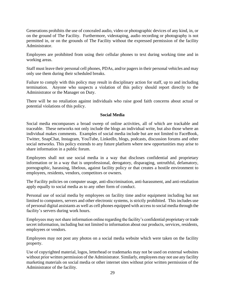Generations prohibits the use of concealed audio, video or photographic devices of any kind, in, or on the ground of The Facility. Furthermore, videotaping, audio recording or photography is not permitted in, or on the grounds of The Facility without the expressed permission of the facility Administrator.

Employees are prohibited from using their cellular phones to text during working time and in working areas.

Staff must leave their personal cell phones, PDAs, and/or pagers in their personal vehicles and may only use them during their scheduled breaks.

Failure to comply with this policy may result in disciplinary action for staff, up to and including termination. Anyone who suspects a violation of this policy should report directly to the Administrator or the Manager on Duty.

There will be no retaliation against individuals who raise good faith concerns about actual or potential violations of this policy.

### **Social Media**

Social media encompasses a broad sweep of online activities, all of which are trackable and traceable. These networks not only include the blogs an individual write, but also those where an individual makes comments. Examples of social media include but are not limited to FaceBook, Twitter, SnapChat, Instagram, YouTube, LinkedIn, blogs, podcasts, discussion forums and other social networks. This policy extends to any future platform where new opportunities may arise to share information in a public forum.

Employees shall not use social media in a way that discloses confidential and proprietary information or in a way that is unprofessional, derogatory, disparaging, untruthful, defamatory, pornographic, harassing, libelous, against facility policy or that creates a hostile environment to employees, residents, vendors, competitors or owners.

The Facility policies on computer usage, anti-discrimination, anti-harassment, and anti-retaliation apply equally to social media as to any other form of conduct.

Personal use of social media by employees on facility time and/or equipment including but not limited to computers, servers and other electronic systems, is strictly prohibited. This includes use of personal digital assistants as well as cell phones equipped with access to social media through the facility's servers during work hours.

Employees may not share information online regarding the facility's confidential proprietary or trade secret information, including but not limited to information about our products, services, residents, employees or vendors.

Employees may not post any photos on a social media website which were taken on the facility property.

Use of copyrighted material, logos, letterhead or trademarks may not be used on external websites without prior written permission of the Administrator. Similarly, employees may not use any facility marketing materials on social media or other internet sites without prior written permission of the Administrator of the facility.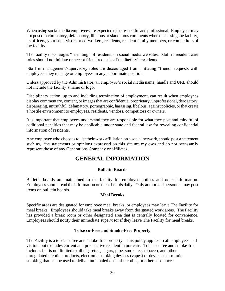When using social media employees are expected to be respectful and professional. Employees may not post discriminatory, defamatory, libelous or slanderous comments when discussing the facility, its officers, your supervisors or co-workers, residents, resident family members, or competitors of the facility.

The facility discourages "friending" of residents on social media websites. Staff in resident care roles should not initiate or accept friend requests of the facility's residents.

Staff in management/supervisory roles are discouraged from initiating "friend" requests with employees they manage or employees in any subordinate position.

Unless approved by the Administrator, an employee's social media name, handle and URL should not include the facility's name or logo.

Disciplinary action, up to and including termination of employment, can result when employees display commentary, content, or images that are confidential proprietary, unprofessional, derogatory, disparaging, untruthful, defamatory, pornographic, harassing, libelous, against policies, or that create a hostile environment to employees, residents, vendors, competitors or owners.

It is important that employees understand they are responsible for what they post and mindful of additional penalties that may be applicable under state and federal law for revealing confidential information of residents.

Any employee who chooses to list their work affiliation on a social network, should post a statement such as, "the statements or opinions expressed on this site are my own and do not necessarily represent those of any Generations Company or affiliates.

### **GENERAL INFORMATION**

### **Bulletin Boards**

Bulletin boards are maintained in the facility for employee notices and other information. Employees should read the information on these boards daily. Only authorized personnel may post items on bulletin boards.

### **Meal Breaks**

Specific areas are designated for employee meal breaks, or employees may leave The Facility for meal breaks. Employees should take meal breaks away from designated work areas. The Facility has provided a break room or other designated area that is centrally located for convenience. Employees should notify their immediate supervisor if they leave The Facility for meal breaks.

### **Tobacco-Free and Smoke-Free Property**

The Facility is a tobacco-free and smoke-free property. This policy applies to all employees and visitors but excludes current and prospective resident in our care. Tobacco-free and smoke-free includes but is not limited to all cigarettes, cigars, pipe, smokeless tobacco, and other unregulated nicotine products, electronic smoking devices (vapes) or devices that mimic smoking that can be used to deliver an inhaled dose of nicotine, or other substances.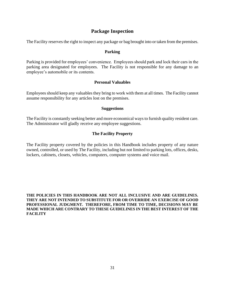### **Package Inspection**

The Facility reserves the right to inspect any package or bag brought into or taken from the premises.

#### **Parking**

Parking is provided for employees' convenience. Employees should park and lock their cars in the parking area designated for employees. The Facility is not responsible for any damage to an employee's automobile or its contents.

#### **Personal Valuables**

Employees should keep any valuables they bring to work with them at all times. The Facility cannot assume responsibility for any articles lost on the premises.

#### **Suggestions**

The Facility is constantly seeking better and more economical ways to furnish quality resident care. The Administrator will gladly receive any employee suggestions.

### **The Facility Property**

The Facility property covered by the policies in this Handbook includes property of any nature owned, controlled, or used by The Facility, including but not limited to parking lots, offices, desks, lockers, cabinets, closets, vehicles, computers, computer systems and voice mail.

**THE POLICIES IN THIS HANDBOOK ARE NOT ALL INCLUSIVE AND ARE GUIDELINES. THEY ARE NOT INTENDED TO SUBSTITUTE FOR OR OVERRIDE AN EXERCISE OF GOOD PROFESSIONAL JUDGMENT. THEREFORE, FROM TIME TO TIME, DECISIONS MAY BE MADE WHICH ARE CONTRARY TO THESE GUIDELINES IN THE BEST INTEREST OF THE FACILITY**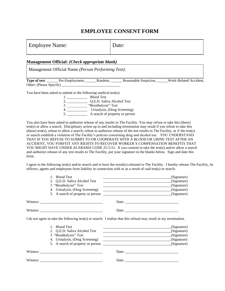### **EMPLOYEE CONSENT FORM**

| <b>Employee Name:</b> | Date: |
|-----------------------|-------|
|                       |       |

#### **Management Official:** *(Check appropriate blank)*

Management Official Name *(Person Performing Test)*:

**Type of test**: \_\_\_\_\_\_ Pre-Employment, \_\_\_\_\_\_Random, \_\_\_\_\_\_ Reasonable Suspicion, \_\_\_\_\_\_Work-Related Accident, Other: (Please Specify) \_\_\_\_\_\_\_\_\_\_\_\_\_\_\_\_\_\_\_\_\_\_\_\_\_\_\_\_\_\_\_\_

You have been asked to submit to the following medical test(s):

1. \_\_\_\_\_\_\_\_\_\_\_ Blood Test

2. \_\_\_\_\_\_\_\_\_\_\_\_\_\_\_\_ Q.E.D. Saliva Alcohol Test 3. \_\_\_\_\_\_\_\_\_\_\_ "Breathalyzer" Test 4. \_\_\_\_\_\_\_\_\_\_\_ Urinalysis, (Drug Screening) 5. A search of property or person

You also have been asked to authorize release of any results to The Facility. You may refuse to take this (these) test(s) or allow a search. Disciplinary action up to and including termination may result if you refuse to take this (these) test(s), refuse to allow a search, refuse to authorize release of the test results to The Facility, or if the test(s) or search establish a violation of The Facility's policies concerning drug and alcohol use. YOU UNDERSTAND THAT IF YOU REFUSE TO SUBMIT TO OR COOPERATE WITH A BLOOD OR URINE TEST AFTER AN ACCIDENT, YOU FORFEIT ANY RIGHTS TO RECOVER WORKER'S COMPENSATION BENEFITS THAT YOU MIGHT HAVE UNDER ALABAMA CODE 25-5-51. If you consent to take the test(s) and/or allow a search and authorize release of any test results to The Facility, put your signature in the blanks below. Sign and date this form.

I agree to the following test(s) and/or search and to have the result(s) released to The Facility. I hereby release The Facility, its officers, agents and employees from liability in connection with or as a result of said test(s) or search.

| 1. Blood Test                                                                                                                                                                                                                                                                                                                                                                                               | and the control of the control of the control of the control of the control of the control of the control of the control of the control of the control of the control of the control of the control of the control of the cont | (Signature) |
|-------------------------------------------------------------------------------------------------------------------------------------------------------------------------------------------------------------------------------------------------------------------------------------------------------------------------------------------------------------------------------------------------------------|--------------------------------------------------------------------------------------------------------------------------------------------------------------------------------------------------------------------------------|-------------|
| 2. Q.E.D. Saliva Alcohol Test                                                                                                                                                                                                                                                                                                                                                                               | <u> 1989 - Johann Harry Harry Harry Harry Harry Harry Harry Harry Harry Harry Harry Harry Harry Harry Harry Harry</u>                                                                                                          | (Signature) |
| 3. "Breathalyzer" Test                                                                                                                                                                                                                                                                                                                                                                                      |                                                                                                                                                                                                                                | (Signature) |
| 4. Urinalysis, (Drug Screening)                                                                                                                                                                                                                                                                                                                                                                             |                                                                                                                                                                                                                                | (Signature) |
| 5. A search of property or person                                                                                                                                                                                                                                                                                                                                                                           |                                                                                                                                                                                                                                | (Signature) |
| Witness: $\frac{1}{\sqrt{1-\frac{1}{2}}\sqrt{1-\frac{1}{2}}\sqrt{1-\frac{1}{2}}\sqrt{1-\frac{1}{2}}\sqrt{1-\frac{1}{2}}\sqrt{1-\frac{1}{2}}\sqrt{1-\frac{1}{2}}\sqrt{1-\frac{1}{2}}\sqrt{1-\frac{1}{2}}\sqrt{1-\frac{1}{2}}\sqrt{1-\frac{1}{2}}\sqrt{1-\frac{1}{2}}\sqrt{1-\frac{1}{2}}\sqrt{1-\frac{1}{2}}\sqrt{1-\frac{1}{2}}\sqrt{1-\frac{1}{2}}\sqrt{1-\frac{1}{2}}\sqrt{1-\frac{1}{2}}\sqrt{1-\frac{1$ |                                                                                                                                                                                                                                |             |
|                                                                                                                                                                                                                                                                                                                                                                                                             |                                                                                                                                                                                                                                |             |
| I do not agree to take the following test(s) or search. I realize that this refusal may result in my termination.                                                                                                                                                                                                                                                                                           |                                                                                                                                                                                                                                |             |
| 1. Blood Test                                                                                                                                                                                                                                                                                                                                                                                               | <u> 1980 - Jan James James Barnett, fransk politik (d. 1980)</u>                                                                                                                                                               | (Signature) |
| 2. Q.E.D. Saliva Alcohol Test                                                                                                                                                                                                                                                                                                                                                                               |                                                                                                                                                                                                                                | (Signature) |
| 3. "Breathalyzer" Test                                                                                                                                                                                                                                                                                                                                                                                      |                                                                                                                                                                                                                                | (Signature) |
| 4. Urinalysis, (Drug Screening)                                                                                                                                                                                                                                                                                                                                                                             |                                                                                                                                                                                                                                | (Signature) |
|                                                                                                                                                                                                                                                                                                                                                                                                             |                                                                                                                                                                                                                                |             |
|                                                                                                                                                                                                                                                                                                                                                                                                             | Date:                                                                                                                                                                                                                          |             |
|                                                                                                                                                                                                                                                                                                                                                                                                             | Date: $\frac{1}{2}$                                                                                                                                                                                                            |             |
|                                                                                                                                                                                                                                                                                                                                                                                                             |                                                                                                                                                                                                                                |             |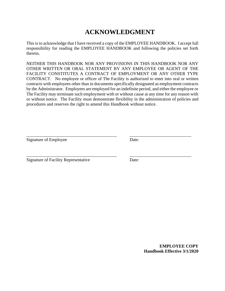# **ACKNOWLEDGMENT**

This is to acknowledge that I have received a copy of the EMPLOYEE HANDBOOK. I accept full responsibility for reading the EMPLOYEE HANDBOOK and following the policies set forth therein.

NEITHER THIS HANDBOOK NOR ANY PROVISIONS IN THIS HANDBOOK NOR ANY OTHER WRITTEN OR ORAL STATEMENT BY ANY EMPLOYEE OR AGENT OF THE FACILITY CONSTITUTES A CONTRACT OF EMPLOYMENT OR ANY OTHER TYPE CONTRACT. No employee or officer of The Facility is authorized to enter into oral or written contracts with employees other than in documents specifically designated as employment contracts by the Administrator. Employees are employed for an indefinite period, and either the employee or The Facility may terminate such employment with or without cause at any time for any reason with or without notice. The Facility must demonstrate flexibility in the administration of policies and procedures and reserves the right to amend this Handbook without notice.

\_\_\_\_\_\_\_\_\_\_\_\_\_\_\_\_\_\_\_\_\_\_\_\_\_\_\_\_\_\_\_\_\_\_\_\_\_\_\_\_\_ \_\_\_\_\_\_\_\_\_\_\_\_\_\_\_\_\_\_\_\_\_\_\_\_\_\_\_\_

\_\_\_\_\_\_\_\_\_\_\_\_\_\_\_\_\_\_\_\_\_\_\_\_\_\_\_\_\_\_\_\_\_\_\_\_\_\_\_\_\_ \_\_\_\_\_\_\_\_\_\_\_\_\_\_\_\_\_\_\_\_\_\_\_\_\_\_\_\_

Signature of Employee Date:

Signature of Facility Representative Date:

**EMPLOYEE COPY Handbook Effective 3/1/2020**